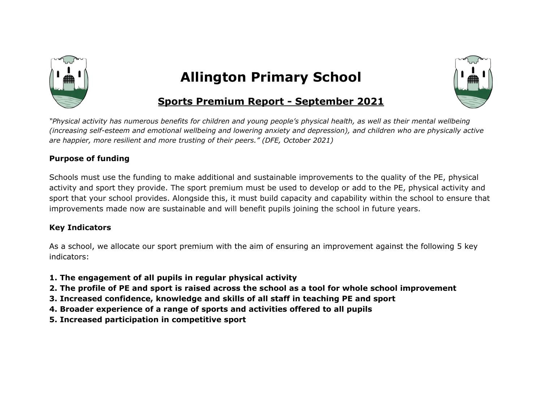

## **Allington Primary School**



## **Sports Premium Report - September 2021**

"Physical activity has numerous benefits for children and young people's physical health, as well as their mental wellbeing (increasing self-esteem and emotional wellbeing and lowering anxiety and depression), and children who are physically active *are happier, more resilient and more trusting of their peers." (DFE, October 2021)*

## **Purpose of funding**

Schools must use the funding to make additional and sustainable improvements to the quality of the PE, physical activity and sport they provide. The sport premium must be used to develop or add to the PE, physical activity and sport that your school provides. Alongside this, it must build capacity and capability within the school to ensure that improvements made now are sustainable and will benefit pupils joining the school in future years.

## **Key Indicators**

As a school, we allocate our sport premium with the aim of ensuring an improvement against the following 5 key indicators:

- **1. The engagement of all pupils in regular physical activity**
- 2. The profile of PE and sport is raised across the school as a tool for whole school improvement
- **3. Increased confidence, knowledge and skills of all staff in teaching PE and sport**
- **4. Broader experience of a range of sports and activities offered to all pupils**
- **5. Increased participation in competitive sport**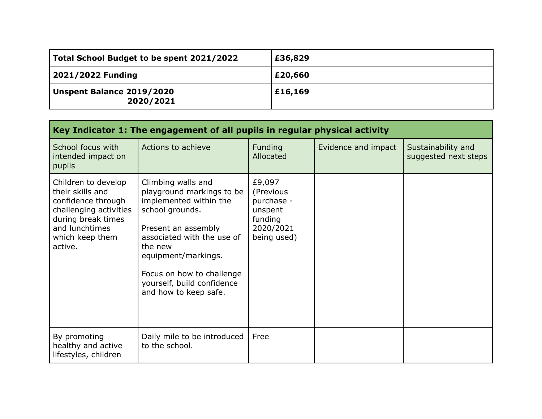| Total School Budget to be spent 2021/2022 | £36,829 |
|-------------------------------------------|---------|
| 2021/2022 Funding                         | £20,660 |
| Unspent Balance 2019/2020<br>2020/2021    | £16,169 |

| Key Indicator 1: The engagement of all pupils in regular physical activity                                                                                    |                                                                                                                                                                                                                                                                         |                                                                                     |                     |                                            |  |
|---------------------------------------------------------------------------------------------------------------------------------------------------------------|-------------------------------------------------------------------------------------------------------------------------------------------------------------------------------------------------------------------------------------------------------------------------|-------------------------------------------------------------------------------------|---------------------|--------------------------------------------|--|
| School focus with<br>intended impact on<br>pupils                                                                                                             | Actions to achieve                                                                                                                                                                                                                                                      | <b>Funding</b><br>Allocated                                                         | Evidence and impact | Sustainability and<br>suggested next steps |  |
| Children to develop<br>their skills and<br>confidence through<br>challenging activities<br>during break times<br>and lunchtimes<br>which keep them<br>active. | Climbing walls and<br>playground markings to be<br>implemented within the<br>school grounds.<br>Present an assembly<br>associated with the use of<br>the new<br>equipment/markings.<br>Focus on how to challenge<br>yourself, build confidence<br>and how to keep safe. | £9,097<br>(Previous<br>purchase -<br>unspent<br>funding<br>2020/2021<br>being used) |                     |                                            |  |
| By promoting<br>healthy and active<br>lifestyles, children                                                                                                    | Daily mile to be introduced<br>to the school.                                                                                                                                                                                                                           | Free                                                                                |                     |                                            |  |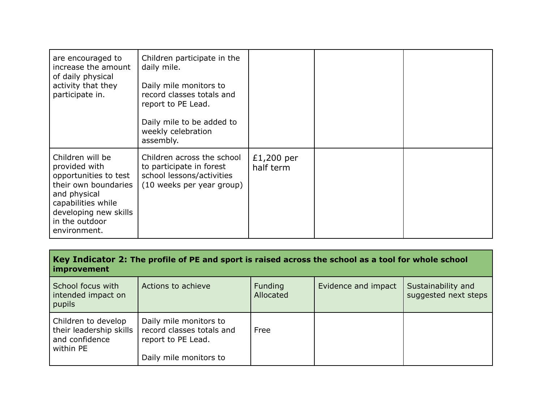| are encouraged to<br>increase the amount<br>of daily physical<br>activity that they<br>participate in.                                                                              | Children participate in the<br>daily mile.<br>Daily mile monitors to<br>record classes totals and<br>report to PE Lead.<br>Daily mile to be added to<br>weekly celebration<br>assembly. |                         |  |
|-------------------------------------------------------------------------------------------------------------------------------------------------------------------------------------|-----------------------------------------------------------------------------------------------------------------------------------------------------------------------------------------|-------------------------|--|
| Children will be<br>provided with<br>opportunities to test<br>their own boundaries<br>and physical<br>capabilities while<br>developing new skills<br>in the outdoor<br>environment. | Children across the school<br>to participate in forest<br>school lessons/activities<br>(10 weeks per year group)                                                                        | £1,200 per<br>half term |  |

Key Indicator 2: The profile of PE and sport is raised across the school as a tool for whole school **improvement**

| School focus with<br>intended impact on<br>pupils                             | Actions to achieve                                                        | Funding<br>Allocated | Evidence and impact | Sustainability and<br>suggested next steps |
|-------------------------------------------------------------------------------|---------------------------------------------------------------------------|----------------------|---------------------|--------------------------------------------|
| Children to develop<br>their leadership skills<br>and confidence<br>within PE | Daily mile monitors to<br>record classes totals and<br>report to PE Lead. | Free                 |                     |                                            |
|                                                                               | Daily mile monitors to                                                    |                      |                     |                                            |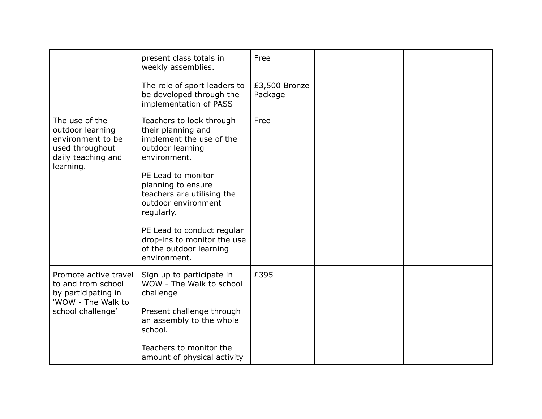|                                                                                                               | present class totals in<br>weekly assemblies.                                                                  | Free                     |  |
|---------------------------------------------------------------------------------------------------------------|----------------------------------------------------------------------------------------------------------------|--------------------------|--|
|                                                                                                               | The role of sport leaders to<br>be developed through the<br>implementation of PASS                             | £3,500 Bronze<br>Package |  |
| The use of the<br>outdoor learning<br>environment to be<br>used throughout<br>daily teaching and<br>learning. | Teachers to look through<br>their planning and<br>implement the use of the<br>outdoor learning<br>environment. | Free                     |  |
|                                                                                                               | PE Lead to monitor<br>planning to ensure<br>teachers are utilising the<br>outdoor environment<br>regularly.    |                          |  |
|                                                                                                               | PE Lead to conduct regular<br>drop-ins to monitor the use<br>of the outdoor learning<br>environment.           |                          |  |
| Promote active travel<br>to and from school<br>by participating in<br>'WOW - The Walk to                      | Sign up to participate in<br>WOW - The Walk to school<br>challenge                                             | £395                     |  |
| school challenge'                                                                                             | Present challenge through<br>an assembly to the whole<br>school.                                               |                          |  |
|                                                                                                               | Teachers to monitor the<br>amount of physical activity                                                         |                          |  |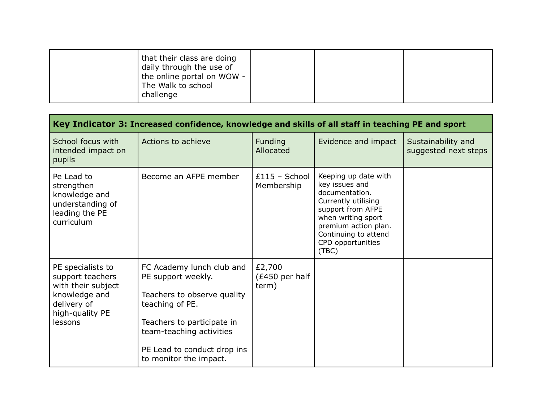| that their class are doing<br>daily through the use of<br>the online portal on WOW -<br>The Walk to school<br>challenge |  |  |  |
|-------------------------------------------------------------------------------------------------------------------------|--|--|--|
|-------------------------------------------------------------------------------------------------------------------------|--|--|--|

| Key Indicator 3: Increased confidence, knowledge and skills of all staff in teaching PE and sport                         |                                                                                                                                                                                                                      |                                   |                                                                                                                                                                                                          |                                            |
|---------------------------------------------------------------------------------------------------------------------------|----------------------------------------------------------------------------------------------------------------------------------------------------------------------------------------------------------------------|-----------------------------------|----------------------------------------------------------------------------------------------------------------------------------------------------------------------------------------------------------|--------------------------------------------|
| School focus with<br>intended impact on<br>pupils                                                                         | Actions to achieve                                                                                                                                                                                                   | Funding<br>Allocated              | Evidence and impact                                                                                                                                                                                      | Sustainability and<br>suggested next steps |
| Pe Lead to<br>strengthen<br>knowledge and<br>understanding of<br>leading the PE<br>curriculum                             | Become an AFPE member                                                                                                                                                                                                | $£115 - School$<br>Membership     | Keeping up date with<br>key issues and<br>documentation.<br>Currently utilising<br>support from AFPE<br>when writing sport<br>premium action plan.<br>Continuing to attend<br>CPD opportunities<br>(TBC) |                                            |
| PE specialists to<br>support teachers<br>with their subject<br>knowledge and<br>delivery of<br>high-quality PE<br>lessons | FC Academy lunch club and<br>PE support weekly.<br>Teachers to observe quality<br>teaching of PE.<br>Teachers to participate in<br>team-teaching activities<br>PE Lead to conduct drop ins<br>to monitor the impact. | £2,700<br>(£450 per half<br>term) |                                                                                                                                                                                                          |                                            |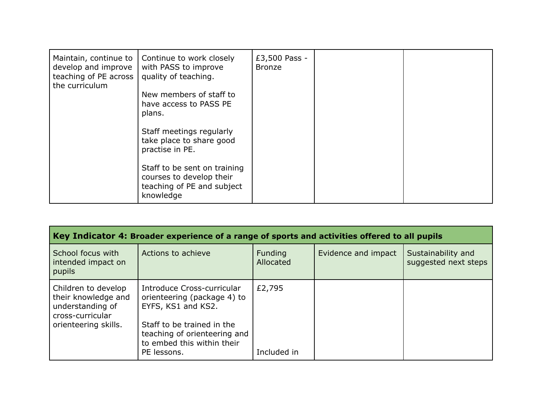| Maintain, continue to<br>develop and improve<br>teaching of PE across<br>the curriculum | Continue to work closely<br>with PASS to improve<br>quality of teaching.<br>New members of staff to<br>have access to PASS PE<br>plans.<br>Staff meetings regularly<br>take place to share good<br>practise in PE.<br>Staff to be sent on training<br>courses to develop their | £3,500 Pass -<br><b>Bronze</b> |  |
|-----------------------------------------------------------------------------------------|--------------------------------------------------------------------------------------------------------------------------------------------------------------------------------------------------------------------------------------------------------------------------------|--------------------------------|--|
|                                                                                         | teaching of PE and subject<br>knowledge                                                                                                                                                                                                                                        |                                |  |

| Key Indicator 4: Broader experience of a range of sports and activities offered to all pupils              |                                                                                                                                                                                            |                       |                     |                                            |  |
|------------------------------------------------------------------------------------------------------------|--------------------------------------------------------------------------------------------------------------------------------------------------------------------------------------------|-----------------------|---------------------|--------------------------------------------|--|
| School focus with<br>intended impact on<br>pupils                                                          | Actions to achieve                                                                                                                                                                         | Funding<br>Allocated  | Evidence and impact | Sustainability and<br>suggested next steps |  |
| Children to develop<br>their knowledge and<br>understanding of<br>cross-curricular<br>orienteering skills. | Introduce Cross-curricular<br>orienteering (package 4) to<br>EYFS, KS1 and KS2.<br>Staff to be trained in the<br>teaching of orienteering and<br>to embed this within their<br>PE lessons. | £2,795<br>Included in |                     |                                            |  |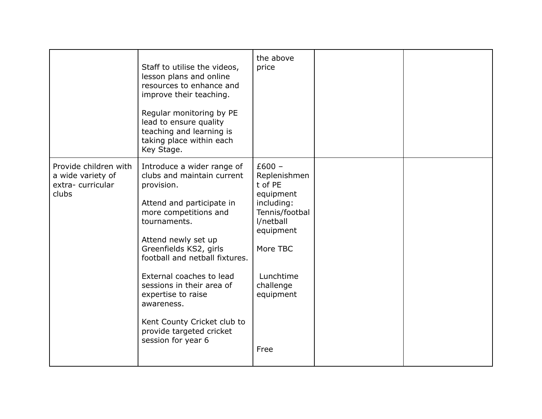|                                                                         | Staff to utilise the videos,<br>lesson plans and online<br>resources to enhance and<br>improve their teaching.<br>Regular monitoring by PE<br>lead to ensure quality<br>teaching and learning is<br>taking place within each<br>Key Stage.                                                                                                                                                                    | the above<br>price                                                                                                                                                    |  |
|-------------------------------------------------------------------------|---------------------------------------------------------------------------------------------------------------------------------------------------------------------------------------------------------------------------------------------------------------------------------------------------------------------------------------------------------------------------------------------------------------|-----------------------------------------------------------------------------------------------------------------------------------------------------------------------|--|
| Provide children with<br>a wide variety of<br>extra-curricular<br>clubs | Introduce a wider range of<br>clubs and maintain current<br>provision.<br>Attend and participate in<br>more competitions and<br>tournaments.<br>Attend newly set up<br>Greenfields KS2, girls<br>football and netball fixtures.<br>External coaches to lead<br>sessions in their area of<br>expertise to raise<br>awareness.<br>Kent County Cricket club to<br>provide targeted cricket<br>session for year 6 | $£600 -$<br>Replenishmen<br>t of PE<br>equipment<br>including:<br>Tennis/footbal<br>l/netball<br>equipment<br>More TBC<br>Lunchtime<br>challenge<br>equipment<br>Free |  |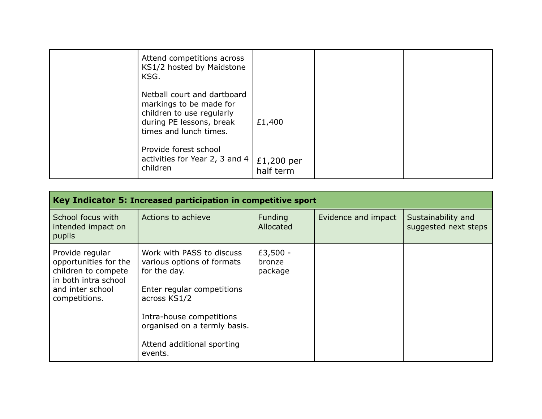| Attend competitions across<br>KS1/2 hosted by Maidstone<br>KSG.                                                                           |                         |  |
|-------------------------------------------------------------------------------------------------------------------------------------------|-------------------------|--|
| Netball court and dartboard<br>markings to be made for<br>children to use regularly<br>during PE lessons, break<br>times and lunch times. | £1,400                  |  |
| Provide forest school<br>activities for Year 2, 3 and 4<br>children                                                                       | £1,200 per<br>half term |  |

| Key Indicator 5: Increased participation in competitive sport                                                                |                                                                                                                                                                                                                            |                               |                     |                                            |  |
|------------------------------------------------------------------------------------------------------------------------------|----------------------------------------------------------------------------------------------------------------------------------------------------------------------------------------------------------------------------|-------------------------------|---------------------|--------------------------------------------|--|
| School focus with<br>intended impact on<br>pupils                                                                            | Actions to achieve                                                                                                                                                                                                         | Funding<br>Allocated          | Evidence and impact | Sustainability and<br>suggested next steps |  |
| Provide regular<br>opportunities for the<br>children to compete<br>in both intra school<br>and inter school<br>competitions. | Work with PASS to discuss<br>various options of formats<br>for the day.<br>Enter regular competitions<br>across KS1/2<br>Intra-house competitions<br>organised on a termly basis.<br>Attend additional sporting<br>events. | £3,500 -<br>bronze<br>package |                     |                                            |  |